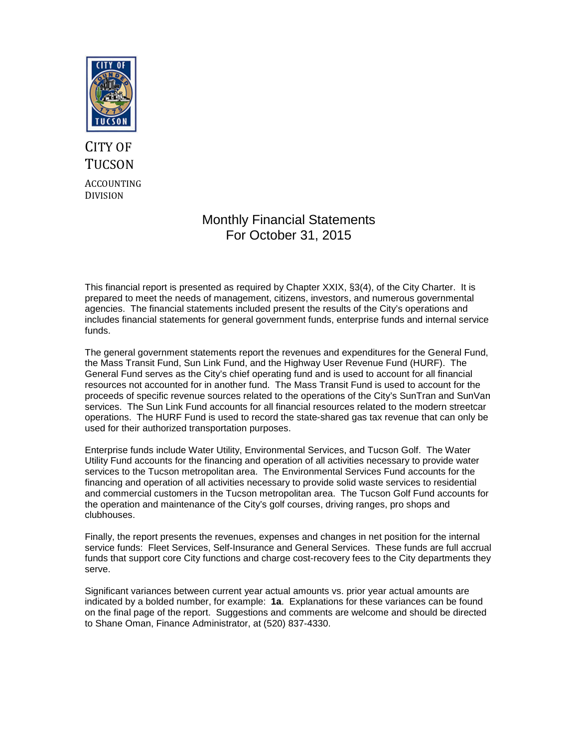

# CITY OF **TUCSON** ACCOUNTING DIVISION

## Monthly Financial Statements For October 31, 2015

This financial report is presented as required by Chapter XXIX, §3(4), of the City Charter. It is prepared to meet the needs of management, citizens, investors, and numerous governmental agencies. The financial statements included present the results of the City's operations and includes financial statements for general government funds, enterprise funds and internal service funds.

The general government statements report the revenues and expenditures for the General Fund, the Mass Transit Fund, Sun Link Fund, and the Highway User Revenue Fund (HURF). The General Fund serves as the City's chief operating fund and is used to account for all financial resources not accounted for in another fund. The Mass Transit Fund is used to account for the proceeds of specific revenue sources related to the operations of the City's SunTran and SunVan services. The Sun Link Fund accounts for all financial resources related to the modern streetcar operations. The HURF Fund is used to record the state-shared gas tax revenue that can only be used for their authorized transportation purposes.

Enterprise funds include Water Utility, Environmental Services, and Tucson Golf. The Water Utility Fund accounts for the financing and operation of all activities necessary to provide water services to the Tucson metropolitan area. The Environmental Services Fund accounts for the financing and operation of all activities necessary to provide solid waste services to residential and commercial customers in the Tucson metropolitan area. The Tucson Golf Fund accounts for the operation and maintenance of the City's golf courses, driving ranges, pro shops and clubhouses.

Finally, the report presents the revenues, expenses and changes in net position for the internal service funds: Fleet Services, Self-Insurance and General Services. These funds are full accrual funds that support core City functions and charge cost-recovery fees to the City departments they serve.

Significant variances between current year actual amounts vs. prior year actual amounts are indicated by a bolded number, for example: **1a**. Explanations for these variances can be found on the final page of the report. Suggestions and comments are welcome and should be directed to Shane Oman, Finance Administrator, at (520) 837-4330.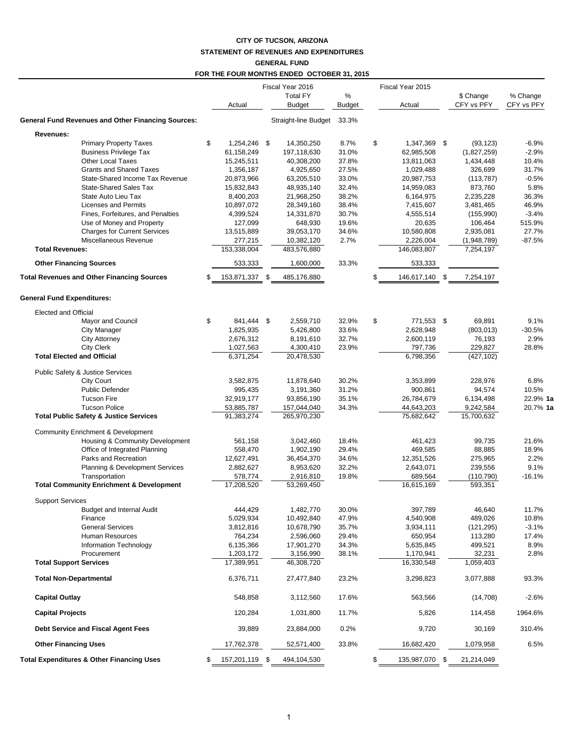## **CITY OF TUCSON, ARIZONA STATEMENT OF REVENUES AND EXPENDITURES GENERAL FUND**

|                                                                |                                  | Fiscal Year 2016          |                | Fiscal Year 2015                 |                          |                    |
|----------------------------------------------------------------|----------------------------------|---------------------------|----------------|----------------------------------|--------------------------|--------------------|
|                                                                |                                  | <b>Total FY</b>           | %              |                                  | \$ Change                | % Change           |
|                                                                | Actual                           | Budget                    | Budget         | Actual                           | CFY vs PFY               | CFY vs PFY         |
| <b>General Fund Revenues and Other Financing Sources:</b>      |                                  | Straight-line Budget      | 33.3%          |                                  |                          |                    |
| Revenues:                                                      |                                  |                           |                |                                  |                          |                    |
| <b>Primary Property Taxes</b><br><b>Business Privilege Tax</b> | \$<br>1,254,246 \$<br>61,158,249 | 14,350,250<br>197,118,630 | 8.7%<br>31.0%  | \$<br>1,347,369 \$<br>62,985,508 | (93, 123)                | $-6.9%$<br>$-2.9%$ |
| <b>Other Local Taxes</b>                                       | 15,245,511                       | 40,308,200                | 37.8%          | 13,811,063                       | (1,827,259)<br>1,434,448 | 10.4%              |
| <b>Grants and Shared Taxes</b>                                 | 1,356,187                        | 4,925,650                 | 27.5%          | 1,029,488                        | 326,699                  | 31.7%              |
| State-Shared Income Tax Revenue                                | 20,873,966                       | 63,205,510                | 33.0%          | 20,987,753                       | (113, 787)               | $-0.5%$            |
| <b>State-Shared Sales Tax</b>                                  | 15,832,843                       | 48,935,140                | 32.4%          | 14,959,083                       | 873,760                  | 5.8%               |
| State Auto Lieu Tax                                            | 8,400,203                        | 21,968,250                | 38.2%          | 6,164,975                        | 2,235,228                | 36.3%              |
| <b>Licenses and Permits</b>                                    | 10,897,072                       | 28,349,160                | 38.4%          | 7,415,607                        | 3,481,465                | 46.9%              |
| Fines, Forfeitures, and Penalties                              | 4,399,524                        | 14,331,870                | 30.7%          | 4,555,514                        | (155, 990)               | $-3.4%$            |
| Use of Money and Property                                      | 127,099                          | 648,930                   | 19.6%          | 20,635                           | 106,464                  | 515.9%             |
| <b>Charges for Current Services</b>                            | 13,515,889                       | 39,053,170                | 34.6%          | 10,580,808                       | 2,935,081                | 27.7%              |
| Miscellaneous Revenue                                          | 277,215                          | 10,382,120                | 2.7%           | 2,226,004                        | (1,948,789)              | $-87.5%$           |
| <b>Total Revenues:</b>                                         | 153,338,004                      | 483,576,880               |                | 146,083,807                      | 7,254,197                |                    |
| <b>Other Financing Sources</b>                                 | 533,333                          | 1,600,000                 | 33.3%          | 533,333                          |                          |                    |
| <b>Total Revenues and Other Financing Sources</b>              | \$<br>153,871,337                | \$<br>485,176,880         |                | \$<br>146,617,140 \$             | 7,254,197                |                    |
| <b>General Fund Expenditures:</b>                              |                                  |                           |                |                                  |                          |                    |
| Elected and Official                                           |                                  |                           |                |                                  |                          |                    |
| Mayor and Council                                              | \$<br>841,444 \$                 | 2,559,710                 | 32.9%          | \$<br>771,553 \$                 | 69,891                   | 9.1%               |
| <b>City Manager</b>                                            | 1,825,935                        | 5,426,800                 | 33.6%          | 2,628,948                        | (803, 013)               | $-30.5%$           |
| <b>City Attorney</b>                                           | 2,676,312                        | 8,191,610                 | 32.7%          | 2,600,119                        | 76,193                   | 2.9%               |
| <b>City Clerk</b><br><b>Total Elected and Official</b>         | 1,027,563<br>6,371,254           | 4,300,410<br>20,478,530   | 23.9%          | 797,736<br>6,798,356             | 229,827<br>(427, 102)    | 28.8%              |
|                                                                |                                  |                           |                |                                  |                          |                    |
| Public Safety & Justice Services                               |                                  |                           |                |                                  |                          |                    |
| <b>City Court</b>                                              | 3,582,875                        | 11,878,640                | 30.2%          | 3,353,899                        | 228,976                  | 6.8%               |
| <b>Public Defender</b>                                         | 995,435                          | 3,191,360                 | 31.2%          | 900,861                          | 94,574                   | 10.5%              |
| <b>Tucson Fire</b>                                             | 32,919,177                       | 93,856,190                | 35.1%          | 26,784,679                       | 6,134,498                | 22.9% 1a           |
| <b>Tucson Police</b>                                           | 53,885,787                       | 157,044,040               | 34.3%          | 44,643,203                       | 9,242,584                | 20.7% 1a           |
| <b>Total Public Safety &amp; Justice Services</b>              | 91,383,274                       | 265,970,230               |                | 75,682,642                       | 15,700,632               |                    |
| Community Enrichment & Development                             |                                  |                           |                |                                  |                          |                    |
| Housing & Community Development                                | 561,158                          | 3,042,460                 | 18.4%          | 461,423                          | 99,735                   | 21.6%              |
| Office of Integrated Planning                                  | 558,470                          | 1,902,190                 | 29.4%          | 469,585                          | 88,885                   | 18.9%              |
| Parks and Recreation                                           | 12,627,491                       | 36,454,370                | 34.6%          | 12,351,526                       | 275,965                  | 2.2%               |
| Planning & Development Services                                | 2,882,627                        | 8,953,620                 | 32.2%          | 2,643,071                        | 239,556                  | 9.1%               |
| Transportation                                                 | 578,774                          | 2,916,810<br>53,269,450   | 19.8%          | 689,564                          | (110, 790)               | $-16.1%$           |
| <b>Total Community Enrichment &amp; Development</b>            | 17,208,520                       |                           |                | 16,615,169                       | 593,351                  |                    |
| <b>Support Services</b>                                        |                                  |                           |                |                                  |                          |                    |
| Budget and Internal Audit<br>Finance                           | 444,429                          | 1,482,770                 | 30.0%          | 397,789                          | 46,640                   | 11.7%              |
| <b>General Services</b>                                        | 5,029,934<br>3,812,816           | 10,492,840<br>10,678,790  | 47.9%<br>35.7% | 4,540,908                        | 489,026                  | 10.8%<br>$-3.1%$   |
| Human Resources                                                | 764,234                          | 2,596,060                 | 29.4%          | 3,934,111<br>650,954             | (121, 295)<br>113,280    | 17.4%              |
| Information Technology                                         | 6,135,366                        | 17,901,270                | 34.3%          | 5,635,845                        | 499,521                  | 8.9%               |
| Procurement                                                    | 1,203,172                        | 3,156,990                 | 38.1%          | 1,170,941                        | 32,231                   | 2.8%               |
| <b>Total Support Services</b>                                  | 17,389,951                       | 46,308,720                |                | 16,330,548                       | 1,059,403                |                    |
| <b>Total Non-Departmental</b>                                  | 6,376,711                        | 27,477,840                | 23.2%          | 3,298,823                        | 3,077,888                | 93.3%              |
| <b>Capital Outlay</b>                                          | 548,858                          | 3,112,560                 | 17.6%          | 563,566                          | (14,708)                 | $-2.6%$            |
| <b>Capital Projects</b>                                        | 120,284                          | 1,031,800                 | 11.7%          | 5,826                            | 114,458                  | 1964.6%            |
| Debt Service and Fiscal Agent Fees                             | 39,889                           | 23,884,000                | 0.2%           | 9,720                            | 30,169                   | 310.4%             |
| <b>Other Financing Uses</b>                                    | 17,762,378                       | 52,571,400                | 33.8%          | 16,682,420                       | 1,079,958                | 6.5%               |
| <b>Total Expenditures &amp; Other Financing Uses</b>           | \$<br>157,201,119 \$             | 494,104,530               |                | \$<br>135,987,070 \$             | 21,214,049               |                    |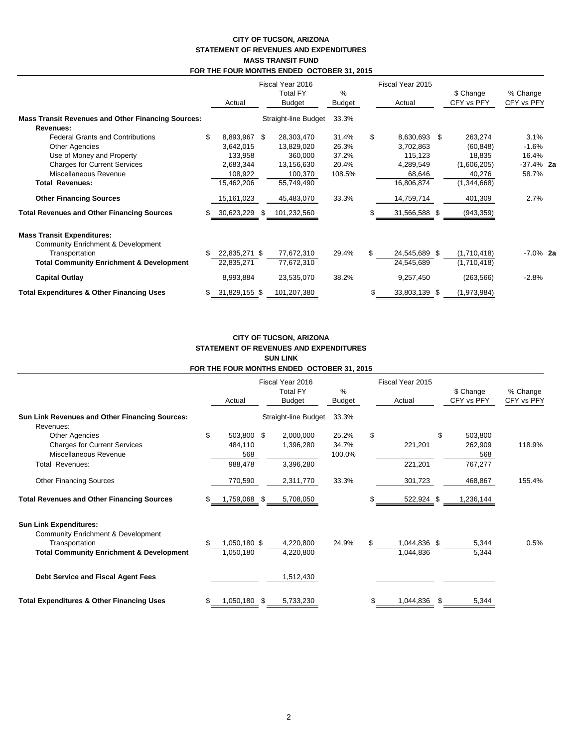## **CITY OF TUCSON, ARIZONA STATEMENT OF REVENUES AND EXPENDITURES MASS TRANSIT FUND FOR THE FOUR MONTHS ENDED OCTOBER 31, 2015**

|                                                           | Actual |               | Fiscal Year 2016<br><b>Total FY</b><br><b>Budget</b> |                      | $\frac{0}{0}$<br>Budget | Fiscal Year 2015<br>Actual | \$ Change<br>CFY vs PFY | % Change<br>CFY vs PFY |  |
|-----------------------------------------------------------|--------|---------------|------------------------------------------------------|----------------------|-------------------------|----------------------------|-------------------------|------------------------|--|
| <b>Mass Transit Revenues and Other Financing Sources:</b> |        |               |                                                      | Straight-line Budget | 33.3%                   |                            |                         |                        |  |
| Revenues:                                                 |        |               |                                                      |                      |                         |                            |                         |                        |  |
| <b>Federal Grants and Contributions</b>                   | \$     | 8,893,967 \$  |                                                      | 28,303,470           | 31.4%                   | \$<br>8,630,693 \$         | 263,274                 | 3.1%                   |  |
| <b>Other Agencies</b>                                     |        | 3,642,015     |                                                      | 13,829,020           | 26.3%                   | 3,702,863                  | (60, 848)               | $-1.6%$                |  |
| Use of Money and Property                                 |        | 133,958       |                                                      | 360,000              | 37.2%                   | 115,123                    | 18,835                  | 16.4%                  |  |
| <b>Charges for Current Services</b>                       |        | 2,683,344     |                                                      | 13,156,630           | 20.4%                   | 4,289,549                  | (1,606,205)             | $-37.4\%$ 2a           |  |
| Miscellaneous Revenue                                     |        | 108,922       |                                                      | 100,370              | 108.5%                  | 68,646                     | 40,276                  | 58.7%                  |  |
| <b>Total Revenues:</b>                                    |        | 15,462,206    |                                                      | 55,749,490           |                         | 16,806,874                 | (1,344,668)             |                        |  |
| <b>Other Financing Sources</b>                            |        | 15, 161, 023  |                                                      | 45,483,070           | 33.3%                   | 14,759,714                 | 401,309                 | 2.7%                   |  |
| <b>Total Revenues and Other Financing Sources</b>         | \$     | 30,623,229    | S                                                    | 101,232,560          |                         | 31,566,588 \$              | (943, 359)              |                        |  |
| <b>Mass Transit Expenditures:</b>                         |        |               |                                                      |                      |                         |                            |                         |                        |  |
| Community Enrichment & Development                        |        |               |                                                      |                      |                         |                            |                         |                        |  |
| Transportation                                            | \$     | 22,835,271 \$ |                                                      | 77,672,310           | 29.4%                   | 24,545,689 \$              | (1,710,418)             | $-7.0\%$ 2a            |  |
| <b>Total Community Enrichment &amp; Development</b>       |        | 22,835,271    |                                                      | 77,672,310           |                         | 24,545,689                 | (1,710,418)             |                        |  |
| <b>Capital Outlay</b>                                     |        | 8,993,884     |                                                      | 23,535,070           | 38.2%                   | 9,257,450                  | (263, 566)              | $-2.8%$                |  |
| <b>Total Expenditures &amp; Other Financing Uses</b>      | \$     | 31,829,155 \$ |                                                      | 101,207,380          |                         | \$<br>33,803,139 \$        | (1,973,984)             |                        |  |

### **CITY OF TUCSON, ARIZONA STATEMENT OF REVENUES AND EXPENDITURES SUN LINK FOR THE FOUR MONTHS ENDED OCTOBER 31, 2015**

|                                                                                                    |     |                           | Fiscal Year 2016                 |                          |    | Fiscal Year 2015 |      |                           |                        |
|----------------------------------------------------------------------------------------------------|-----|---------------------------|----------------------------------|--------------------------|----|------------------|------|---------------------------|------------------------|
|                                                                                                    |     | Actual                    | <b>Total FY</b><br><b>Budget</b> | %<br><b>Budget</b>       |    | Actual           |      | \$ Change<br>CFY vs PFY   | % Change<br>CFY vs PFY |
| Sun Link Revenues and Other Financing Sources:                                                     |     |                           | Straight-line Budget             | 33.3%                    |    |                  |      |                           |                        |
| Revenues:<br><b>Other Agencies</b><br><b>Charges for Current Services</b><br>Miscellaneous Revenue | \$  | 503,800<br>484,110<br>568 | \$<br>2,000,000<br>1,396,280     | 25.2%<br>34.7%<br>100.0% | \$ | 221,201          | \$   | 503,800<br>262,909<br>568 | 118.9%                 |
| Total Revenues:                                                                                    |     | 988,478                   | 3,396,280                        |                          |    | 221,201          |      | 767,277                   |                        |
| <b>Other Financing Sources</b>                                                                     |     | 770,590                   | 2,311,770                        | 33.3%                    |    | 301,723          |      | 468,867                   | 155.4%                 |
| <b>Total Revenues and Other Financing Sources</b>                                                  |     | 1,759,068 \$              | 5,708,050                        |                          |    | 522,924 \$       |      | 1,236,144                 |                        |
| <b>Sun Link Expenditures:</b><br><b>Community Enrichment &amp; Development</b><br>Transportation   | \$. | 1,050,180 \$              | 4,220,800                        | 24.9%                    | \$ | 1,044,836 \$     |      | 5,344                     | 0.5%                   |
| <b>Total Community Enrichment &amp; Development</b>                                                |     | 1,050,180                 | 4,220,800                        |                          |    | 1,044,836        |      | 5,344                     |                        |
| Debt Service and Fiscal Agent Fees                                                                 |     |                           | 1,512,430                        |                          |    |                  |      |                           |                        |
| <b>Total Expenditures &amp; Other Financing Uses</b>                                               |     | 1,050,180 \$              | 5,733,230                        |                          | S  | 1,044,836        | - \$ | 5,344                     |                        |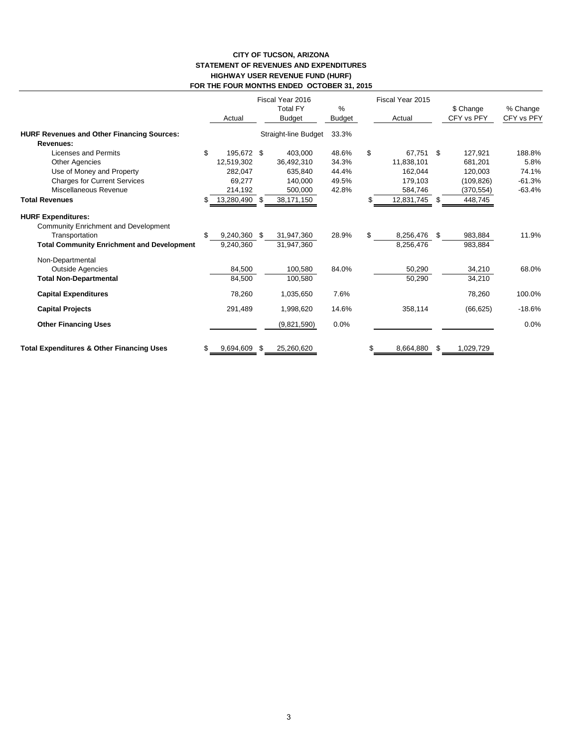## **CITY OF TUCSON, ARIZONA STATEMENT OF REVENUES AND EXPENDITURES HIGHWAY USER REVENUE FUND (HURF) FOR THE FOUR MONTHS ENDED OCTOBER 31, 2015**

|                                                                   |     | Actual        | Fiscal Year 2016<br><b>Total FY</b><br><b>Budget</b> | $\%$<br>Budget | Fiscal Year 2015<br>Actual |              | \$ Change<br>CFY vs PFY | % Change<br>CFY vs PFY |
|-------------------------------------------------------------------|-----|---------------|------------------------------------------------------|----------------|----------------------------|--------------|-------------------------|------------------------|
| <b>HURF Revenues and Other Financing Sources:</b>                 |     |               | Straight-line Budget                                 | 33.3%          |                            |              |                         |                        |
| Revenues:                                                         |     |               |                                                      |                |                            |              |                         |                        |
| Licenses and Permits                                              | \$  | 195,672 \$    | 403,000                                              | 48.6%          | \$<br>67.751 \$            |              | 127.921                 | 188.8%                 |
| Other Agencies                                                    |     | 12,519,302    | 36,492,310                                           | 34.3%          | 11,838,101                 |              | 681,201                 | 5.8%                   |
| Use of Money and Property                                         |     | 282,047       | 635,840                                              | 44.4%          | 162,044                    |              | 120,003                 | 74.1%                  |
| <b>Charges for Current Services</b>                               |     | 69,277        | 140,000                                              | 49.5%          | 179,103                    |              | (109, 826)              | $-61.3%$               |
| Miscellaneous Revenue                                             |     | 214,192       | 500,000                                              | 42.8%          | 584,746                    |              | (370, 554)              | $-63.4%$               |
| <b>Total Revenues</b>                                             | \$. | 13,280,490 \$ | 38,171,150                                           |                | 12,831,745 \$              |              | 448,745                 |                        |
| <b>HURF Expenditures:</b><br>Community Enrichment and Development |     |               |                                                      |                |                            |              |                         |                        |
| Transportation                                                    | \$  | 9,240,360 \$  | 31,947,360                                           | 28.9%          | \$<br>8,256,476            | $\mathbb{S}$ | 983,884                 | 11.9%                  |
| <b>Total Community Enrichment and Development</b>                 |     | 9,240,360     | 31,947,360                                           |                | 8,256,476                  |              | 983,884                 |                        |
| Non-Departmental                                                  |     |               |                                                      |                |                            |              |                         |                        |
| <b>Outside Agencies</b>                                           |     | 84,500        | 100,580                                              | 84.0%          | 50,290                     |              | 34,210                  | 68.0%                  |
| <b>Total Non-Departmental</b>                                     |     | 84,500        | 100.580                                              |                | 50,290                     |              | 34,210                  |                        |
| <b>Capital Expenditures</b>                                       |     | 78,260        | 1,035,650                                            | 7.6%           |                            |              | 78,260                  | 100.0%                 |
| <b>Capital Projects</b>                                           |     | 291,489       | 1,998,620                                            | 14.6%          | 358,114                    |              | (66, 625)               | $-18.6%$               |
| <b>Other Financing Uses</b>                                       |     |               | (9,821,590)                                          | 0.0%           |                            |              |                         | 0.0%                   |
| <b>Total Expenditures &amp; Other Financing Uses</b>              | \$  | 9,694,609     | \$<br>25,260,620                                     |                | \$<br>8,664,880            | S            | 1,029,729               |                        |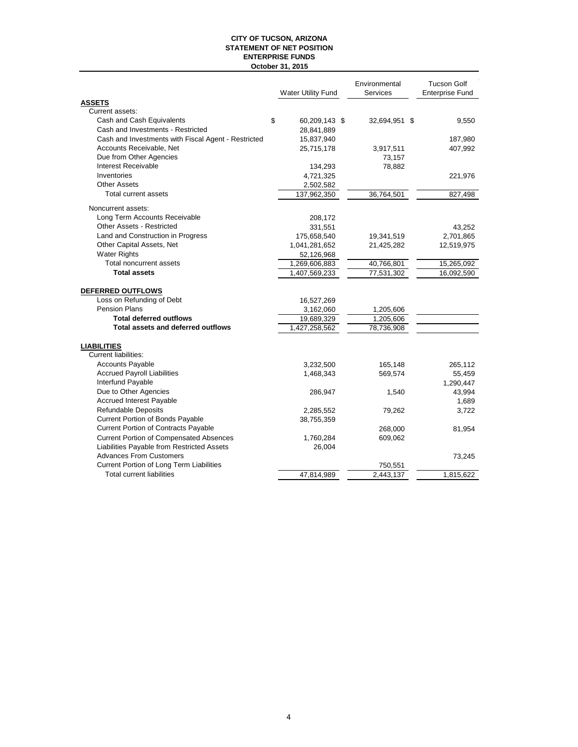#### **CITY OF TUCSON, ARIZONA STATEMENT OF NET POSITION October 31, 2015 ENTERPRISE FUNDS**

|                                                     | <b>Water Utility Fund</b> | Environmental<br>Services | <b>Tucson Golf</b><br><b>Enterprise Fund</b> |
|-----------------------------------------------------|---------------------------|---------------------------|----------------------------------------------|
| <b>ASSETS</b>                                       |                           |                           |                                              |
| Current assets:                                     |                           |                           |                                              |
| Cash and Cash Equivalents                           | \$<br>60,209,143 \$       | 32,694,951 \$             | 9,550                                        |
| Cash and Investments - Restricted                   | 28,841,889                |                           |                                              |
| Cash and Investments with Fiscal Agent - Restricted | 15,837,940                |                           | 187,980                                      |
| Accounts Receivable, Net                            | 25,715,178                | 3,917,511                 | 407,992                                      |
| Due from Other Agencies                             |                           | 73,157                    |                                              |
| Interest Receivable                                 | 134,293                   | 78,882                    |                                              |
| Inventories                                         | 4,721,325                 |                           | 221,976                                      |
| <b>Other Assets</b>                                 | 2,502,582                 |                           |                                              |
| Total current assets                                | 137,962,350               | 36,764,501                | 827,498                                      |
| Noncurrent assets:                                  |                           |                           |                                              |
| Long Term Accounts Receivable                       | 208,172                   |                           |                                              |
| <b>Other Assets - Restricted</b>                    | 331,551                   |                           | 43,252                                       |
| Land and Construction in Progress                   | 175,658,540               | 19,341,519                | 2,701,865                                    |
| Other Capital Assets, Net                           | 1,041,281,652             | 21,425,282                | 12,519,975                                   |
| <b>Water Rights</b>                                 | 52,126,968                |                           |                                              |
| Total noncurrent assets                             | 1,269,606,883             | 40,766,801                | 15,265,092                                   |
| <b>Total assets</b>                                 | 1,407,569,233             | 77,531,302                | 16,092,590                                   |
| DEFERRED OUTFLOWS                                   |                           |                           |                                              |
| Loss on Refunding of Debt                           | 16,527,269                |                           |                                              |
| <b>Pension Plans</b>                                | 3,162,060                 | 1,205,606                 |                                              |
| <b>Total deferred outflows</b>                      | 19,689,329                | 1,205,606                 |                                              |
| <b>Total assets and deferred outflows</b>           | 1,427,258,562             | 78,736,908                |                                              |
| <b>LIABILITIES</b>                                  |                           |                           |                                              |
| <b>Current liabilities:</b>                         |                           |                           |                                              |
| <b>Accounts Payable</b>                             | 3,232,500                 | 165,148                   | 265,112                                      |
| <b>Accrued Payroll Liabilities</b>                  | 1,468,343                 | 569,574                   | 55,459                                       |
| Interfund Payable                                   |                           |                           | 1,290,447                                    |
| Due to Other Agencies                               | 286,947                   | 1,540                     | 43,994                                       |
| <b>Accrued Interest Payable</b>                     |                           |                           | 1,689                                        |
| <b>Refundable Deposits</b>                          | 2,285,552                 | 79,262                    | 3,722                                        |
| Current Portion of Bonds Payable                    | 38,755,359                |                           |                                              |
| <b>Current Portion of Contracts Payable</b>         |                           | 268,000                   | 81,954                                       |
| <b>Current Portion of Compensated Absences</b>      | 1,760,284                 | 609,062                   |                                              |
| Liabilities Payable from Restricted Assets          | 26,004                    |                           |                                              |
| <b>Advances From Customers</b>                      |                           |                           | 73,245                                       |
| Current Portion of Long Term Liabilities            |                           | 750,551                   |                                              |
| Total current liabilities                           | 47,814,989                | 2,443,137                 | 1,815,622                                    |
|                                                     |                           |                           |                                              |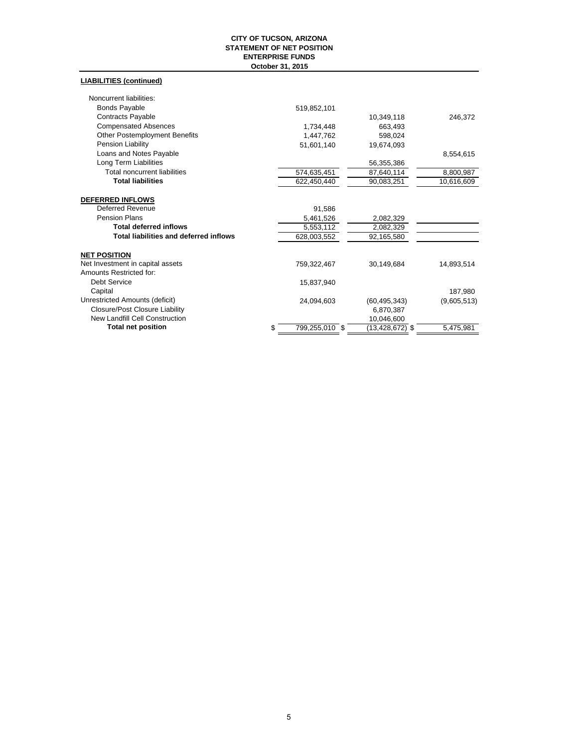#### **CITY OF TUCSON, ARIZONA STATEMENT OF NET POSITION October 31, 2015 ENTERPRISE FUNDS**

## **LIABILITIES (continued)**

| Noncurrent liabilities:                       |                      |                     |             |
|-----------------------------------------------|----------------------|---------------------|-------------|
| Bonds Payable                                 | 519,852,101          |                     |             |
| Contracts Payable                             |                      | 10,349,118          | 246,372     |
| <b>Compensated Absences</b>                   | 1,734,448            | 663,493             |             |
| <b>Other Postemployment Benefits</b>          | 1,447,762            | 598,024             |             |
| Pension Liability                             | 51,601,140           | 19,674,093          |             |
| Loans and Notes Payable                       |                      |                     | 8,554,615   |
| Long Term Liabilities                         |                      | 56,355,386          |             |
| <b>Total noncurrent liabilities</b>           | 574,635,451          | 87,640,114          | 8,800,987   |
| <b>Total liabilities</b>                      | 622,450,440          | 90,083,251          | 10,616,609  |
|                                               |                      |                     |             |
| <b>DEFERRED INFLOWS</b>                       |                      |                     |             |
| <b>Deferred Revenue</b>                       | 91,586               |                     |             |
| <b>Pension Plans</b>                          | 5,461,526            | 2,082,329           |             |
| <b>Total deferred inflows</b>                 | 5,553,112            | 2,082,329           |             |
| <b>Total liabilities and deferred inflows</b> | 628,003,552          | 92,165,580          |             |
| <b>NET POSITION</b>                           |                      |                     |             |
| Net Investment in capital assets              | 759,322,467          | 30,149,684          | 14,893,514  |
| Amounts Restricted for:                       |                      |                     |             |
| Debt Service                                  | 15,837,940           |                     |             |
| Capital                                       |                      |                     | 187,980     |
| Unrestricted Amounts (deficit)                | 24,094,603           | (60, 495, 343)      | (9,605,513) |
| Closure/Post Closure Liability                |                      | 6,870,387           |             |
| New Landfill Cell Construction                |                      | 10,046,600          |             |
| <b>Total net position</b>                     | \$<br>799,255,010 \$ | $(13, 428, 672)$ \$ | 5,475,981   |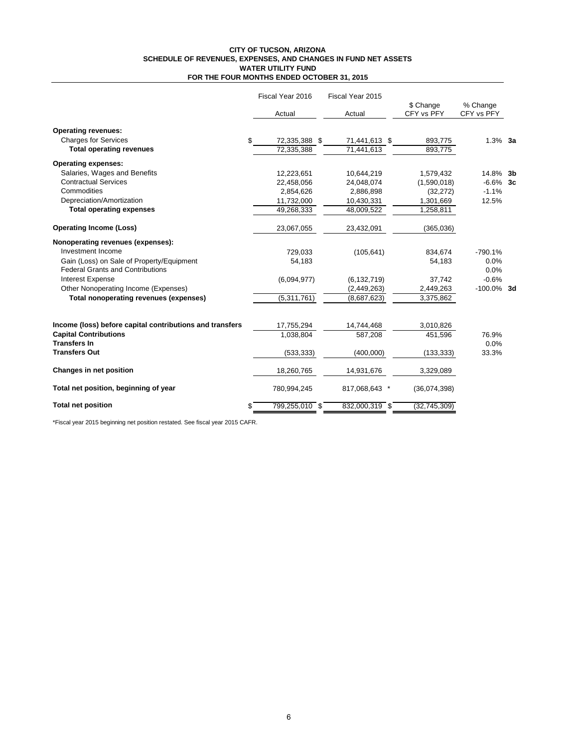#### **CITY OF TUCSON, ARIZONA SCHEDULE OF REVENUES, EXPENSES, AND CHANGES IN FUND NET ASSETS FOR THE FOUR MONTHS ENDED OCTOBER 31, 2015 WATER UTILITY FUND**

|                                                          |    | Fiscal Year 2016<br>Actual |  | Fiscal Year 2015 |                         |                        |  |
|----------------------------------------------------------|----|----------------------------|--|------------------|-------------------------|------------------------|--|
|                                                          |    |                            |  | Actual           | \$ Change<br>CFY vs PFY | % Change<br>CFY vs PFY |  |
| <b>Operating revenues:</b>                               |    |                            |  |                  |                         |                        |  |
| <b>Charges for Services</b>                              | \$ | 72,335,388 \$              |  | 71,441,613 \$    | 893,775                 | $1.3\%$ 3a             |  |
| <b>Total operating revenues</b>                          |    | 72,335,388                 |  | 71,441,613       | 893,775                 |                        |  |
| <b>Operating expenses:</b>                               |    |                            |  |                  |                         |                        |  |
| Salaries, Wages and Benefits                             |    | 12,223,651                 |  | 10,644,219       | 1,579,432               | 14.8% 3b               |  |
| <b>Contractual Services</b>                              |    | 22,458,056                 |  | 24,048,074       | (1,590,018)             | $-6.6\%$ 3c            |  |
| Commodities                                              |    | 2,854,626                  |  | 2,886,898        | (32, 272)               | $-1.1%$                |  |
| Depreciation/Amortization                                |    | 11,732,000                 |  | 10,430,331       | 1,301,669               | 12.5%                  |  |
| <b>Total operating expenses</b>                          |    | 49,268,333                 |  | 48,009,522       | 1,258,811               |                        |  |
| <b>Operating Income (Loss)</b>                           |    | 23,067,055                 |  | 23,432,091       | (365,036)               |                        |  |
| Nonoperating revenues (expenses):                        |    |                            |  |                  |                         |                        |  |
| Investment Income                                        |    | 729,033                    |  | (105, 641)       | 834,674                 | $-790.1%$              |  |
| Gain (Loss) on Sale of Property/Equipment                |    | 54,183                     |  |                  | 54,183                  | 0.0%                   |  |
| <b>Federal Grants and Contributions</b>                  |    |                            |  |                  |                         | 0.0%                   |  |
| <b>Interest Expense</b>                                  |    | (6.094.977)                |  | (6, 132, 719)    | 37,742                  | $-0.6%$                |  |
| Other Nonoperating Income (Expenses)                     |    |                            |  | (2,449,263)      | 2,449,263               | $-100.0\%$ 3d          |  |
| Total nonoperating revenues (expenses)                   |    | (5,311,761)                |  | (8,687,623)      | 3,375,862               |                        |  |
|                                                          |    |                            |  |                  |                         |                        |  |
| Income (loss) before capital contributions and transfers |    | 17,755,294                 |  | 14,744,468       | 3,010,826               |                        |  |
| <b>Capital Contributions</b>                             |    | 1.038.804                  |  | 587.208          | 451.596                 | 76.9%                  |  |
| <b>Transfers In</b>                                      |    |                            |  |                  |                         | 0.0%                   |  |
| <b>Transfers Out</b>                                     |    | (533, 333)                 |  | (400,000)        | (133, 333)              | 33.3%                  |  |
| Changes in net position                                  |    | 18,260,765                 |  | 14,931,676       | 3,329,089               |                        |  |
| Total net position, beginning of year                    |    | 780,994,245                |  | 817,068,643 *    | (36,074,398)            |                        |  |
| <b>Total net position</b>                                | S  | 799,255,010 \$             |  | 832,000,319 \$   | (32, 745, 309)          |                        |  |
|                                                          |    |                            |  |                  |                         |                        |  |

\*Fiscal year 2015 beginning net position restated. See fiscal year 2015 CAFR.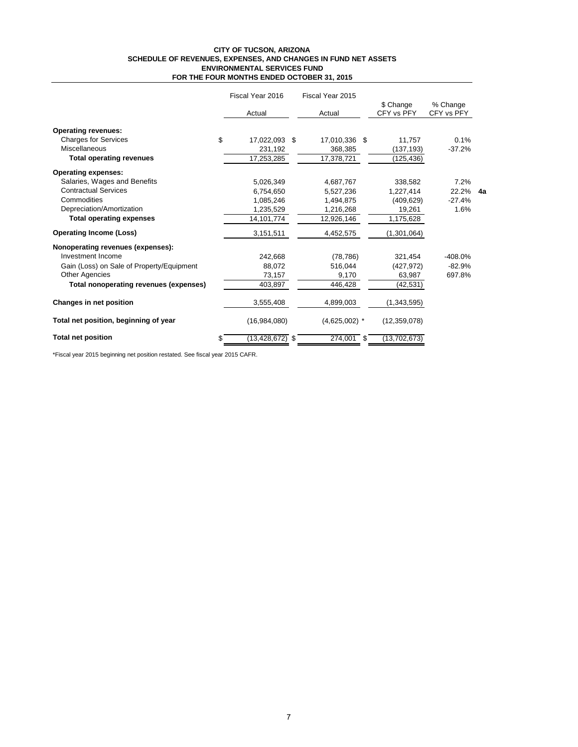#### **CITY OF TUCSON, ARIZONA SCHEDULE OF REVENUES, EXPENSES, AND CHANGES IN FUND NET ASSETS FOR THE FOUR MONTHS ENDED OCTOBER 31, 2015 ENVIRONMENTAL SERVICES FUND**

|                                           | Fiscal Year 2016    | Fiscal Year 2015 |  |                         |                        |  |
|-------------------------------------------|---------------------|------------------|--|-------------------------|------------------------|--|
|                                           | Actual              | Actual           |  | \$ Change<br>CFY vs PFY | % Change<br>CFY vs PFY |  |
| <b>Operating revenues:</b>                |                     |                  |  |                         |                        |  |
| <b>Charges for Services</b>               | \$<br>17,022,093 \$ | 17,010,336 \$    |  | 11,757                  | 0.1%                   |  |
| Miscellaneous                             | 231,192             | 368,385          |  | (137, 193)              | $-37.2%$               |  |
| <b>Total operating revenues</b>           | 17,253,285          | 17,378,721       |  | (125,436)               |                        |  |
| <b>Operating expenses:</b>                |                     |                  |  |                         |                        |  |
| Salaries, Wages and Benefits              | 5,026,349           | 4,687,767        |  | 338,582                 | 7.2%                   |  |
| <b>Contractual Services</b>               | 6,754,650           | 5,527,236        |  | 1,227,414               | 22.2% 4a               |  |
| Commodities                               | 1,085,246           | 1,494,875        |  | (409, 629)              | $-27.4%$               |  |
| Depreciation/Amortization                 | 1,235,529           | 1,216,268        |  | 19,261                  | 1.6%                   |  |
| <b>Total operating expenses</b>           | 14,101,774          | 12,926,146       |  | 1,175,628               |                        |  |
| <b>Operating Income (Loss)</b>            | 3,151,511           | 4,452,575        |  | (1,301,064)             |                        |  |
| Nonoperating revenues (expenses):         |                     |                  |  |                         |                        |  |
| Investment Income                         | 242.668             | (78, 786)        |  | 321,454                 | $-408.0%$              |  |
| Gain (Loss) on Sale of Property/Equipment | 88.072              | 516,044          |  | (427, 972)              | $-82.9%$               |  |
| <b>Other Agencies</b>                     | 73,157              | 9,170            |  | 63,987                  | 697.8%                 |  |
| Total nonoperating revenues (expenses)    | 403,897             | 446,428          |  | (42, 531)               |                        |  |
| Changes in net position                   | 3,555,408           | 4,899,003        |  | (1,343,595)             |                        |  |
| Total net position, beginning of year     | (16,984,080)        | $(4,625,002)$ *  |  | (12, 359, 078)          |                        |  |
| <b>Total net position</b>                 | $(13, 428, 672)$ \$ | 274,001 \$       |  | (13, 702, 673)          |                        |  |

\*Fiscal year 2015 beginning net position restated. See fiscal year 2015 CAFR.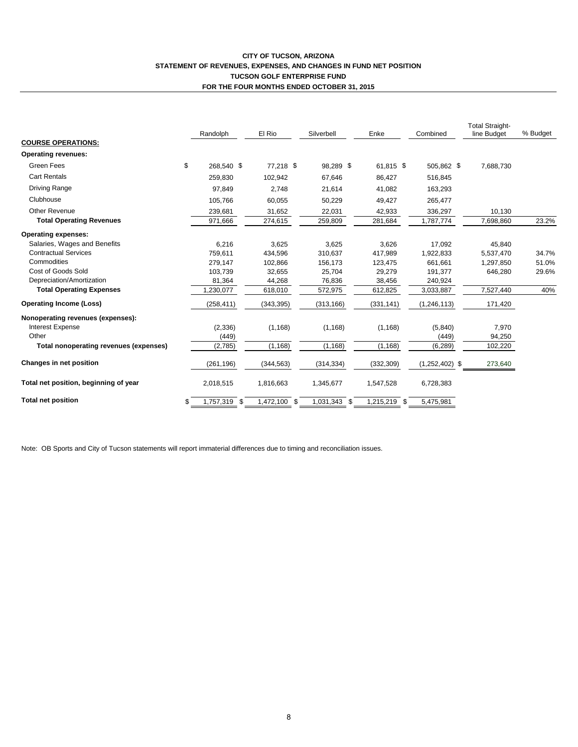## **CITY OF TUCSON, ARIZONA STATEMENT OF REVENUES, EXPENSES, AND CHANGES IN FUND NET POSITION TUCSON GOLF ENTERPRISE FUND FOR THE FOUR MONTHS ENDED OCTOBER 31, 2015**

| <b>COURSE OPERATIONS:</b>              | Randolph           | El Rio       | Silverbell   | Enke         | Combined         | <b>Total Straight-</b><br>line Budget | % Budget |
|----------------------------------------|--------------------|--------------|--------------|--------------|------------------|---------------------------------------|----------|
| <b>Operating revenues:</b>             |                    |              |              |              |                  |                                       |          |
| Green Fees                             | \$<br>268.540 \$   | 77,218 \$    | 98.289 \$    | 61.815 \$    | 505.862 \$       | 7,688,730                             |          |
| <b>Cart Rentals</b>                    | 259,830            | 102,942      | 67,646       | 86,427       | 516,845          |                                       |          |
| <b>Driving Range</b>                   | 97,849             | 2,748        | 21,614       | 41,082       | 163,293          |                                       |          |
| Clubhouse                              | 105,766            | 60,055       | 50,229       | 49,427       | 265,477          |                                       |          |
| Other Revenue                          | 239,681            | 31,652       | 22,031       | 42,933       | 336,297          | 10,130                                |          |
| <b>Total Operating Revenues</b>        | 971,666            | 274,615      | 259,809      | 281,684      | 1,787,774        | 7,698,860                             | 23.2%    |
| <b>Operating expenses:</b>             |                    |              |              |              |                  |                                       |          |
| Salaries, Wages and Benefits           | 6,216              | 3,625        | 3,625        | 3,626        | 17.092           | 45,840                                |          |
| <b>Contractual Services</b>            | 759.611            | 434,596      | 310,637      | 417,989      | 1,922,833        | 5,537,470                             | 34.7%    |
| Commodities                            | 279.147            | 102.866      | 156,173      | 123,475      | 661.661          | 1,297,850                             | 51.0%    |
| Cost of Goods Sold                     | 103.739            | 32,655       | 25,704       | 29,279       | 191,377          | 646,280                               | 29.6%    |
| Depreciation/Amortization              | 81,364             | 44,268       | 76,836       | 38,456       | 240,924          |                                       |          |
| <b>Total Operating Expenses</b>        | 1,230,077          | 618,010      | 572,975      | 612,825      | 3,033,887        | 7,527,440                             | 40%      |
| <b>Operating Income (Loss)</b>         | (258, 411)         | (343, 395)   | (313, 166)   | (331, 141)   | (1, 246, 113)    | 171,420                               |          |
| Nonoperating revenues (expenses):      |                    |              |              |              |                  |                                       |          |
| <b>Interest Expense</b>                | (2,336)            | (1, 168)     | (1, 168)     | (1, 168)     | (5,840)          | 7,970                                 |          |
| Other                                  | (449)              |              |              |              | (449)            | 94,250                                |          |
| Total nonoperating revenues (expenses) | (2,785)            | (1, 168)     | (1, 168)     | (1, 168)     | (6, 289)         | 102,220                               |          |
| Changes in net position                | (261, 196)         | (344, 563)   | (314, 334)   | (332, 309)   | $(1,252,402)$ \$ | 273,640                               |          |
| Total net position, beginning of year  | 2,018,515          | 1,816,663    | 1,345,677    | 1,547,528    | 6,728,383        |                                       |          |
| <b>Total net position</b>              | \$<br>1,757,319 \$ | 1,472,100 \$ | 1,031,343 \$ | 1,215,219 \$ | 5,475,981        |                                       |          |

Note: OB Sports and City of Tucson statements will report immaterial differences due to timing and reconciliation issues.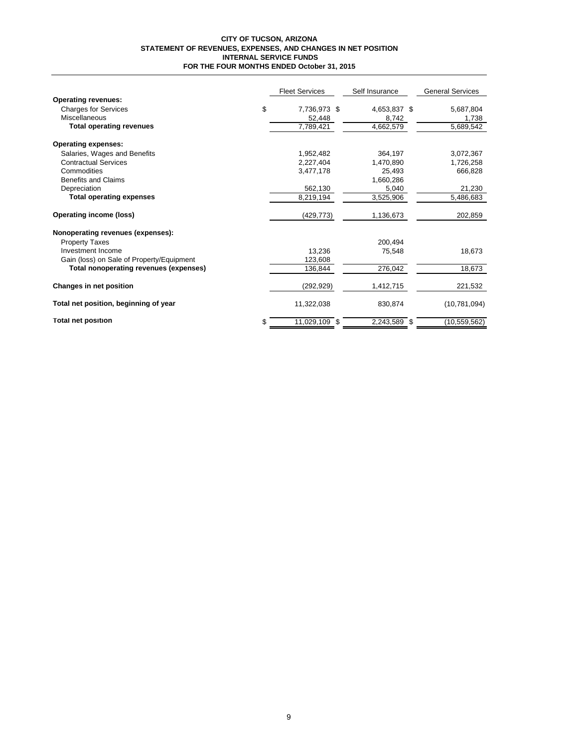#### **CITY OF TUCSON, ARIZONA STATEMENT OF REVENUES, EXPENSES, AND CHANGES IN NET POSITION INTERNAL SERVICE FUNDS FOR THE FOUR MONTHS ENDED October 31, 2015**

|                                           |    | <b>Fleet Services</b> | Self Insurance | <b>General Services</b> |
|-------------------------------------------|----|-----------------------|----------------|-------------------------|
| <b>Operating revenues:</b>                |    |                       |                |                         |
| <b>Charges for Services</b>               | \$ | 7,736,973 \$          | 4,653,837 \$   | 5,687,804               |
| Miscellaneous                             |    | 52,448                | 8,742          | 1,738                   |
| <b>Total operating revenues</b>           |    | 7,789,421             | 4,662,579      | 5,689,542               |
| <b>Operating expenses:</b>                |    |                       |                |                         |
| Salaries, Wages and Benefits              |    | 1,952,482             | 364,197        | 3,072,367               |
| <b>Contractual Services</b>               |    | 2,227,404             | 1,470,890      | 1,726,258               |
| Commodities                               |    | 3,477,178             | 25,493         | 666,828                 |
| <b>Benefits and Claims</b>                |    |                       | 1,660,286      |                         |
| Depreciation                              |    | 562,130               | 5,040          | 21,230                  |
| <b>Total operating expenses</b>           |    | 8,219,194             | 3,525,906      | 5,486,683               |
| Operating income (loss)                   |    | (429, 773)            | 1,136,673      | 202,859                 |
| Nonoperating revenues (expenses):         |    |                       |                |                         |
| <b>Property Taxes</b>                     |    |                       | 200.494        |                         |
| Investment Income                         |    | 13,236                | 75,548         | 18,673                  |
| Gain (loss) on Sale of Property/Equipment |    | 123.608               |                |                         |
| Total nonoperating revenues (expenses)    |    | 136.844               | 276,042        | 18,673                  |
| Changes in net position                   |    | (292, 929)            | 1,412,715      | 221,532                 |
| Total net position, beginning of year     |    | 11,322,038            | 830,874        | (10, 781, 094)          |
| <b>Total net position</b>                 | S  | 11.029.109 \$         | 2,243,589 \$   | (10, 559, 562)          |